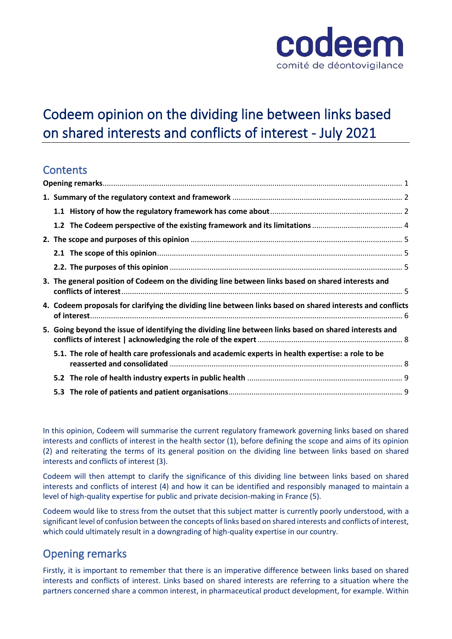

# Codeem opinion on the dividing line between links based on shared interests and conflicts of interest - July 2021

# **Contents**

| 3. The general position of Codeem on the dividing line between links based on shared interests and         |  |
|------------------------------------------------------------------------------------------------------------|--|
| 4. Codeem proposals for clarifying the dividing line between links based on shared interests and conflicts |  |
| 5. Going beyond the issue of identifying the dividing line between links based on shared interests and     |  |
| 5.1. The role of health care professionals and academic experts in health expertise: a role to be          |  |
|                                                                                                            |  |
|                                                                                                            |  |

In this opinion, Codeem will summarise the current regulatory framework governing links based on shared interests and conflicts of interest in the health sector (1), before defining the scope and aims of its opinion (2) and reiterating the terms of its general position on the dividing line between links based on shared interests and conflicts of interest (3).

Codeem will then attempt to clarify the significance of this dividing line between links based on shared interests and conflicts of interest (4) and how it can be identified and responsibly managed to maintain a level of high-quality expertise for public and private decision-making in France (5).

Codeem would like to stress from the outset that this subject matter is currently poorly understood, with a significant level of confusion between the concepts of links based on shared interests and conflicts of interest, which could ultimately result in a downgrading of high-quality expertise in our country.

# <span id="page-0-0"></span>Opening remarks

Firstly, it is important to remember that there is an imperative difference between links based on shared interests and conflicts of interest. Links based on shared interests are referring to a situation where the partners concerned share a common interest, in pharmaceutical product development, for example. Within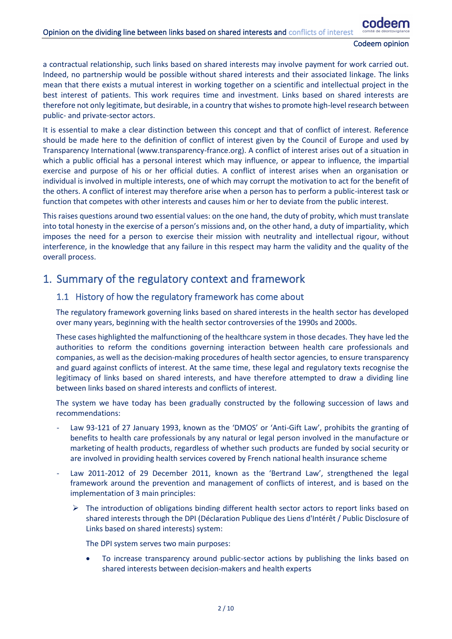a contractual relationship, such links based on shared interests may involve payment for work carried out. Indeed, no partnership would be possible without shared interests and their associated linkage. The links mean that there exists a mutual interest in working together on a scientific and intellectual project in the best interest of patients. This work requires time and investment. Links based on shared interests are therefore not only legitimate, but desirable, in a country that wishes to promote high-level research between public- and private-sector actors.

It is essential to make a clear distinction between this concept and that of conflict of interest. Reference should be made here to the definition of conflict of interest given by the Council of Europe and used by Transparency International (www.transparency-france.org). A conflict of interest arises out of a situation in which a public official has a personal interest which may influence, or appear to influence, the impartial exercise and purpose of his or her official duties. A conflict of interest arises when an organisation or individual is involved in multiple interests, one of which may corrupt the motivation to act for the benefit of the others. A conflict of interest may therefore arise when a person has to perform a public-interest task or function that competes with other interests and causes him or her to deviate from the public interest.

This raises questions around two essential values: on the one hand, the duty of probity, which must translate into total honesty in the exercise of a person's missions and, on the other hand, a duty of impartiality, which imposes the need for a person to exercise their mission with neutrality and intellectual rigour, without interference, in the knowledge that any failure in this respect may harm the validity and the quality of the overall process.

## <span id="page-1-1"></span><span id="page-1-0"></span>1. Summary of the regulatory context and framework

### 1.1 History of how the regulatory framework has come about

The regulatory framework governing links based on shared interests in the health sector has developed over many years, beginning with the health sector controversies of the 1990s and 2000s.

These cases highlighted the malfunctioning of the healthcare system in those decades. They have led the authorities to reform the conditions governing interaction between health care professionals and companies, as well as the decision-making procedures of health sector agencies, to ensure transparency and guard against conflicts of interest. At the same time, these legal and regulatory texts recognise the legitimacy of links based on shared interests, and have therefore attempted to draw a dividing line between links based on shared interests and conflicts of interest.

The system we have today has been gradually constructed by the following succession of laws and recommendations:

- Law 93-121 of 27 January 1993, known as the 'DMOS' or 'Anti-Gift Law', prohibits the granting of benefits to health care professionals by any natural or legal person involved in the manufacture or marketing of health products, regardless of whether such products are funded by social security or are involved in providing health services covered by French national health insurance scheme
- Law 2011-2012 of 29 December 2011, known as the 'Bertrand Law', strengthened the legal framework around the prevention and management of conflicts of interest, and is based on the implementation of 3 main principles:
	- $\triangleright$  The introduction of obligations binding different health sector actors to report links based on shared interests through the DPI (Déclaration Publique des Liens d'Intérêt / Public Disclosure of Links based on shared interests) system:

The DPI system serves two main purposes:

• To increase transparency around public-sector actions by publishing the links based on shared interests between decision-makers and health experts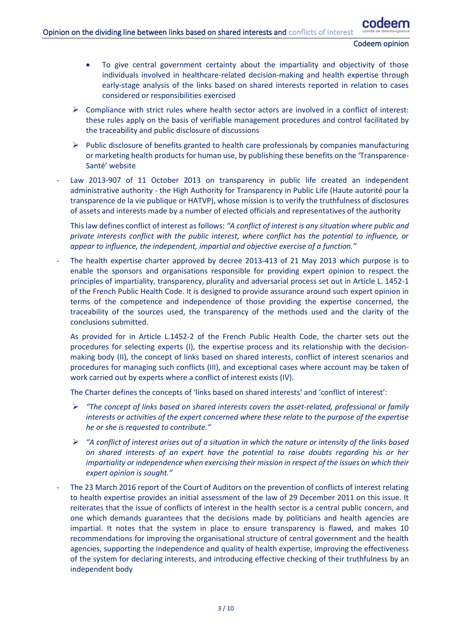- To give central government certainty about the impartiality and objectivity of those individuals involved in healthcare-related decision-making and health expertise through early-stage analysis of the links based on shared interests reported in relation to cases considered or responsibilities exercised
- $\triangleright$  Compliance with strict rules where health sector actors are involved in a conflict of interest: these rules apply on the basis of verifiable management procedures and control facilitated by the traceability and public disclosure of discussions
- $\triangleright$  Public disclosure of benefits granted to health care professionals by companies manufacturing or marketing health products for human use, by publishing these benefits on the 'Transparence-Santé' website
- Law 2013-907 of 11 October 2013 on transparency in public life created an independent administrative authority - the High Authority for Transparency in Public Life (Haute autorité pour la transparence de la vie publique or HATVP), whose mission is to verify the truthfulness of disclosures of assets and interests made by a number of elected officials and representatives of the authority

This law defines conflict of interest as follows: *"A conflict of interest is any situation where public and private interests conflict with the public interest, where conflict has the potential to influence, or appear to influence, the independent, impartial and objective exercise of a function."*

The health expertise charter approved by decree 2013-413 of 21 May 2013 which purpose is to enable the sponsors and organisations responsible for providing expert opinion to respect the principles of impartiality, transparency, plurality and adversarial process set out in Article L. 1452-1 of the French Public Health Code. It is designed to provide assurance around such expert opinion in terms of the competence and independence of those providing the expertise concerned, the traceability of the sources used, the transparency of the methods used and the clarity of the conclusions submitted.

As provided for in Article L.1452-2 of the French Public Health Code, the charter sets out the procedures for selecting experts (I), the expertise process and its relationship with the decisionmaking body (II), the concept of links based on shared interests, conflict of interest scenarios and procedures for managing such conflicts (III), and exceptional cases where account may be taken of work carried out by experts where a conflict of interest exists (IV).

The Charter defines the concepts of 'links based on shared interests' and 'conflict of interest':

- ➢ *"The concept of links based on shared interests covers the asset-related, professional or family interests or activities of the expert concerned where these relate to the purpose of the expertise he or she is requested to contribute."*
- ➢ *"A conflict of interest arises out of a situation in which the nature or intensity of the links based on shared interests of an expert have the potential to raise doubts regarding his or her impartiality or independence when exercising their mission in respect of the issues on which their expert opinion is sought."*
- The 23 March 2016 report of the Court of Auditors on the prevention of conflicts of interest relating to health expertise provides an initial assessment of the law of 29 December 2011 on this issue. It reiterates that the issue of conflicts of interest in the health sector is a central public concern, and one which demands guarantees that the decisions made by politicians and health agencies are impartial. It notes that the system in place to ensure transparency is flawed, and makes 10 recommendations for improving the organisational structure of central government and the health agencies, supporting the independence and quality of health expertise, improving the effectiveness of the system for declaring interests, and introducing effective checking of their truthfulness by an independent body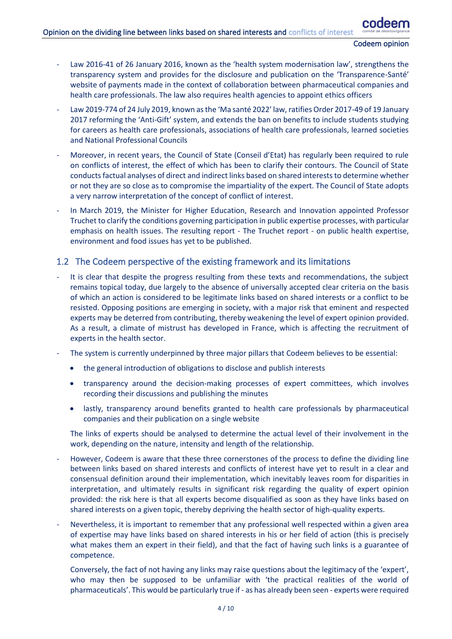- Law 2016-41 of 26 January 2016, known as the 'health system modernisation law', strengthens the transparency system and provides for the disclosure and publication on the 'Transparence-Santé' website of payments made in the context of collaboration between pharmaceutical companies and health care professionals. The law also requires health agencies to appoint ethics officers
- Law 2019-774 of 24 July 2019, known as the 'Ma santé 2022' law, ratifies Order 2017-49 of 19 January 2017 reforming the 'Anti-Gift' system, and extends the ban on benefits to include students studying for careers as health care professionals, associations of health care professionals, learned societies and National Professional Councils
- Moreover, in recent years, the Council of State (Conseil d'Etat) has regularly been required to rule on conflicts of interest, the effect of which has been to clarify their contours. The Council of State conducts factual analyses of direct and indirect links based on shared interests to determine whether or not they are so close as to compromise the impartiality of the expert. The Council of State adopts a very narrow interpretation of the concept of conflict of interest.
- In March 2019, the Minister for Higher Education, Research and Innovation appointed Professor Truchet to clarify the conditions governing participation in public expertise processes, with particular emphasis on health issues. The resulting report - The Truchet report - on public health expertise, environment and food issues has yet to be published.

### <span id="page-3-0"></span>1.2 The Codeem perspective of the existing framework and its limitations

- It is clear that despite the progress resulting from these texts and recommendations, the subject remains topical today, due largely to the absence of universally accepted clear criteria on the basis of which an action is considered to be legitimate links based on shared interests or a conflict to be resisted. Opposing positions are emerging in society, with a major risk that eminent and respected experts may be deterred from contributing, thereby weakening the level of expert opinion provided. As a result, a climate of mistrust has developed in France, which is affecting the recruitment of experts in the health sector.
- The system is currently underpinned by three major pillars that Codeem believes to be essential:
	- the general introduction of obligations to disclose and publish interests
	- transparency around the decision-making processes of expert committees, which involves recording their discussions and publishing the minutes
	- lastly, transparency around benefits granted to health care professionals by pharmaceutical companies and their publication on a single website

The links of experts should be analysed to determine the actual level of their involvement in the work, depending on the nature, intensity and length of the relationship.

- However, Codeem is aware that these three cornerstones of the process to define the dividing line between links based on shared interests and conflicts of interest have yet to result in a clear and consensual definition around their implementation, which inevitably leaves room for disparities in interpretation, and ultimately results in significant risk regarding the quality of expert opinion provided: the risk here is that all experts become disqualified as soon as they have links based on shared interests on a given topic, thereby depriving the health sector of high-quality experts.
- Nevertheless, it is important to remember that any professional well respected within a given area of expertise may have links based on shared interests in his or her field of action (this is precisely what makes them an expert in their field), and that the fact of having such links is a guarantee of competence.
	- Conversely, the fact of not having any links may raise questions about the legitimacy of the 'expert', who may then be supposed to be unfamiliar with 'the practical realities of the world of pharmaceuticals'. This would be particularly true if - as has already been seen - experts were required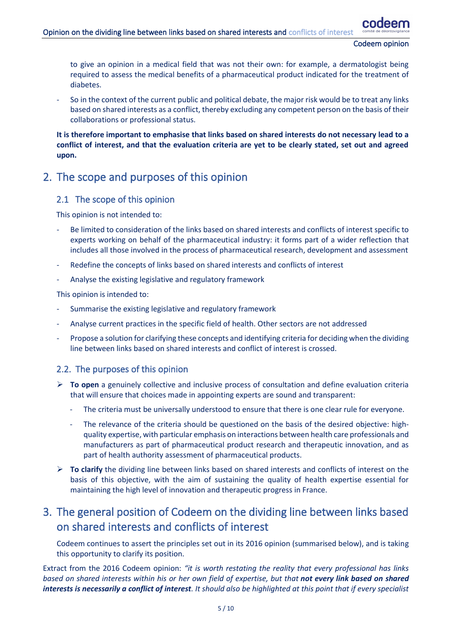to give an opinion in a medical field that was not their own: for example, a dermatologist being required to assess the medical benefits of a pharmaceutical product indicated for the treatment of diabetes.

So in the context of the current public and political debate, the major risk would be to treat any links based on shared interests as a conflict, thereby excluding any competent person on the basis of their collaborations or professional status.

**It is therefore important to emphasise that links based on shared interests do not necessary lead to a conflict of interest, and that the evaluation criteria are yet to be clearly stated, set out and agreed upon.** 

# <span id="page-4-1"></span><span id="page-4-0"></span>2. The scope and purposes of this opinion

### 2.1 The scope of this opinion

This opinion is not intended to:

- Be limited to consideration of the links based on shared interests and conflicts of interest specific to experts working on behalf of the pharmaceutical industry: it forms part of a wider reflection that includes all those involved in the process of pharmaceutical research, development and assessment
- Redefine the concepts of links based on shared interests and conflicts of interest
- Analyse the existing legislative and regulatory framework

This opinion is intended to:

- Summarise the existing legislative and regulatory framework
- Analyse current practices in the specific field of health. Other sectors are not addressed
- Propose a solution for clarifying these concepts and identifying criteria for deciding when the dividing line between links based on shared interests and conflict of interest is crossed.

### <span id="page-4-2"></span>2.2. The purposes of this opinion

- ➢ **To open** a genuinely collective and inclusive process of consultation and define evaluation criteria that will ensure that choices made in appointing experts are sound and transparent:
	- The criteria must be universally understood to ensure that there is one clear rule for everyone.
	- The relevance of the criteria should be questioned on the basis of the desired objective: highquality expertise, with particular emphasis on interactions between health care professionals and manufacturers as part of pharmaceutical product research and therapeutic innovation, and as part of health authority assessment of pharmaceutical products.
- ➢ **To clarify** the dividing line between links based on shared interests and conflicts of interest on the basis of this objective, with the aim of sustaining the quality of health expertise essential for maintaining the high level of innovation and therapeutic progress in France.

# <span id="page-4-3"></span>3. The general position of Codeem on the dividing line between links based on shared interests and conflicts of interest

Codeem continues to assert the principles set out in its 2016 opinion (summarised below), and is taking this opportunity to clarify its position.

Extract from the 2016 Codeem opinion: *"it is worth restating the reality that every professional has links based on shared interests within his or her own field of expertise, but that not every link based on shared interests is necessarily a conflict of interest. It should also be highlighted at this point that if every specialist*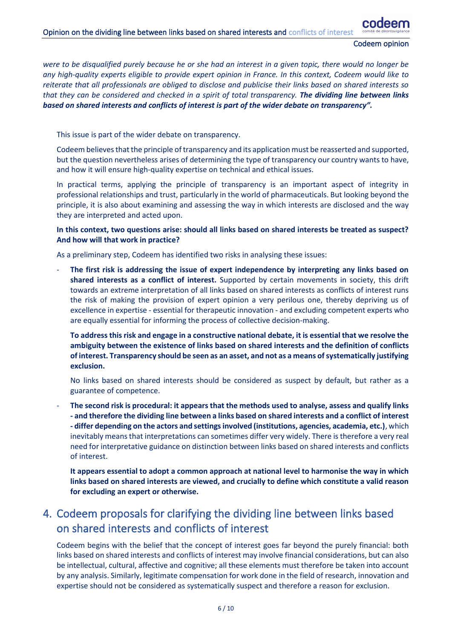#### Opinion on the dividing line between links based on shared interests and conflicts of interest

Codeem opinion

*were to be disqualified purely because he or she had an interest in a given topic, there would no longer be any high-quality experts eligible to provide expert opinion in France. In this context, Codeem would like to reiterate that all professionals are obliged to disclose and publicise their links based on shared interests so that they can be considered and checked in a spirit of total transparency. The dividing line between links based on shared interests and conflicts of interest is part of the wider debate on transparency".*

This issue is part of the wider debate on transparency.

Codeem believes that the principle of transparency and its application must be reasserted and supported, but the question nevertheless arises of determining the type of transparency our country wants to have, and how it will ensure high-quality expertise on technical and ethical issues.

In practical terms, applying the principle of transparency is an important aspect of integrity in professional relationships and trust, particularly in the world of pharmaceuticals. But looking beyond the principle, it is also about examining and assessing the way in which interests are disclosed and the way they are interpreted and acted upon.

#### **In this context, two questions arise: should all links based on shared interests be treated as suspect? And how will that work in practice?**

As a preliminary step, Codeem has identified two risks in analysing these issues:

The first risk is addressing the issue of expert independence by interpreting any links based on **shared interests as a conflict of interest.** Supported by certain movements in society, this drift towards an extreme interpretation of all links based on shared interests as conflicts of interest runs the risk of making the provision of expert opinion a very perilous one, thereby depriving us of excellence in expertise - essential for therapeutic innovation - and excluding competent experts who are equally essential for informing the process of collective decision-making.

**To address this risk and engage in a constructive national debate, it is essential that we resolve the ambiguity between the existence of links based on shared interests and the definition of conflicts of interest. Transparency should be seen as an asset, and not as a means of systematically justifying exclusion.**

No links based on shared interests should be considered as suspect by default, but rather as a guarantee of competence.

- **The second risk is procedural: it appears that the methods used to analyse, assess and qualify links - and therefore the dividing line between a links based on shared interests and a conflict of interest - differ depending on the actors and settings involved (institutions, agencies, academia, etc.)**, which inevitably means that interpretations can sometimes differ very widely. There is therefore a very real need for interpretative guidance on distinction between links based on shared interests and conflicts of interest.

**It appears essential to adopt a common approach at national level to harmonise the way in which links based on shared interests are viewed, and crucially to define which constitute a valid reason for excluding an expert or otherwise.**

# <span id="page-5-0"></span>4. Codeem proposals for clarifying the dividing line between links based on shared interests and conflicts of interest

Codeem begins with the belief that the concept of interest goes far beyond the purely financial: both links based on shared interests and conflicts of interest may involve financial considerations, but can also be intellectual, cultural, affective and cognitive; all these elements must therefore be taken into account by any analysis. Similarly, legitimate compensation for work done in the field of research, innovation and expertise should not be considered as systematically suspect and therefore a reason for exclusion.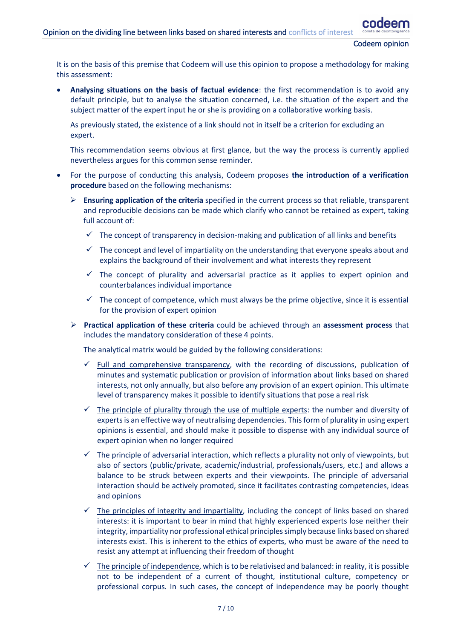It is on the basis of this premise that Codeem will use this opinion to propose a methodology for making this assessment:

• **Analysing situations on the basis of factual evidence**: the first recommendation is to avoid any default principle, but to analyse the situation concerned, i.e. the situation of the expert and the subject matter of the expert input he or she is providing on a collaborative working basis.

As previously stated, the existence of a link should not in itself be a criterion for excluding an expert.

This recommendation seems obvious at first glance, but the way the process is currently applied nevertheless argues for this common sense reminder.

- For the purpose of conducting this analysis, Codeem proposes **the introduction of a verification procedure** based on the following mechanisms:
	- ➢ **Ensuring application of the criteria** specified in the current process so that reliable, transparent and reproducible decisions can be made which clarify who cannot be retained as expert, taking full account of:
		- $\checkmark$  The concept of transparency in decision-making and publication of all links and benefits
		- $\checkmark$  The concept and level of impartiality on the understanding that everyone speaks about and explains the background of their involvement and what interests they represent
		- $\checkmark$  The concept of plurality and adversarial practice as it applies to expert opinion and counterbalances individual importance
		- $\checkmark$  The concept of competence, which must always be the prime objective, since it is essential for the provision of expert opinion
	- ➢ **Practical application of these criteria** could be achieved through an **assessment process** that includes the mandatory consideration of these 4 points.

The analytical matrix would be guided by the following considerations:

- $\checkmark$  Full and comprehensive transparency, with the recording of discussions, publication of minutes and systematic publication or provision of information about links based on shared interests, not only annually, but also before any provision of an expert opinion. This ultimate level of transparency makes it possible to identify situations that pose a real risk
- $\checkmark$  The principle of plurality through the use of multiple experts: the number and diversity of experts is an effective way of neutralising dependencies. This form of plurality in using expert opinions is essential, and should make it possible to dispense with any individual source of expert opinion when no longer required
- $\checkmark$  The principle of adversarial interaction, which reflects a plurality not only of viewpoints, but also of sectors (public/private, academic/industrial, professionals/users, etc.) and allows a balance to be struck between experts and their viewpoints. The principle of adversarial interaction should be actively promoted, since it facilitates contrasting competencies, ideas and opinions
- $\checkmark$  The principles of integrity and impartiality, including the concept of links based on shared interests: it is important to bear in mind that highly experienced experts lose neither their integrity, impartiality nor professional ethical principles simply because links based on shared interests exist. This is inherent to the ethics of experts, who must be aware of the need to resist any attempt at influencing their freedom of thought
- The principle of independence, which is to be relativised and balanced: in reality, it is possible not to be independent of a current of thought, institutional culture, competency or professional corpus. In such cases, the concept of independence may be poorly thought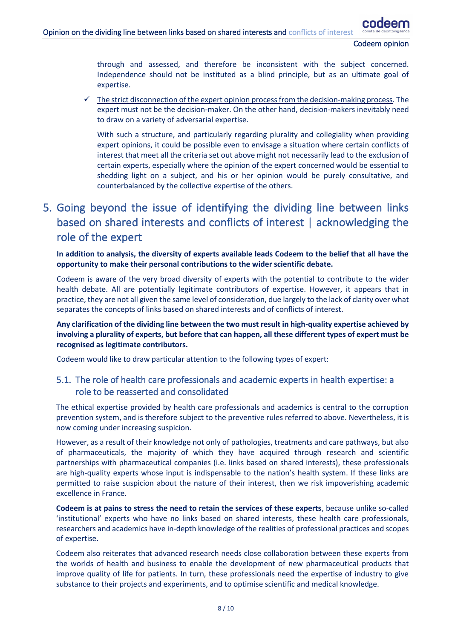through and assessed, and therefore be inconsistent with the subject concerned. Independence should not be instituted as a blind principle, but as an ultimate goal of expertise.

The strict disconnection of the expert opinion process from the decision-making process. The expert must not be the decision-maker. On the other hand, decision-makers inevitably need to draw on a variety of adversarial expertise.

With such a structure, and particularly regarding plurality and collegiality when providing expert opinions, it could be possible even to envisage a situation where certain conflicts of interest that meet all the criteria set out above might not necessarily lead to the exclusion of certain experts, especially where the opinion of the expert concerned would be essential to shedding light on a subject, and his or her opinion would be purely consultative, and counterbalanced by the collective expertise of the others.

# <span id="page-7-0"></span>5. Going beyond the issue of identifying the dividing line between links based on shared interests and conflicts of interest | acknowledging the role of the expert

**In addition to analysis, the diversity of experts available leads Codeem to the belief that all have the opportunity to make their personal contributions to the wider scientific debate.**

Codeem is aware of the very broad diversity of experts with the potential to contribute to the wider health debate. All are potentially legitimate contributors of expertise. However, it appears that in practice, they are not all given the same level of consideration, due largely to the lack of clarity over what separates the concepts of links based on shared interests and of conflicts of interest.

**Any clarification of the dividing line between the two must result in high-quality expertise achieved by involving a plurality of experts, but before that can happen, all these different types of expert must be recognised as legitimate contributors.**

<span id="page-7-1"></span>Codeem would like to draw particular attention to the following types of expert:

### 5.1. The role of health care professionals and academic experts in health expertise: a role to be reasserted and consolidated

The ethical expertise provided by health care professionals and academics is central to the corruption prevention system, and is therefore subject to the preventive rules referred to above. Nevertheless, it is now coming under increasing suspicion.

However, as a result of their knowledge not only of pathologies, treatments and care pathways, but also of pharmaceuticals, the majority of which they have acquired through research and scientific partnerships with pharmaceutical companies (i.e. links based on shared interests), these professionals are high-quality experts whose input is indispensable to the nation's health system. If these links are permitted to raise suspicion about the nature of their interest, then we risk impoverishing academic excellence in France.

**Codeem is at pains to stress the need to retain the services of these experts**, because unlike so-called 'institutional' experts who have no links based on shared interests, these health care professionals, researchers and academics have in-depth knowledge of the realities of professional practices and scopes of expertise.

Codeem also reiterates that advanced research needs close collaboration between these experts from the worlds of health and business to enable the development of new pharmaceutical products that improve quality of life for patients. In turn, these professionals need the expertise of industry to give substance to their projects and experiments, and to optimise scientific and medical knowledge.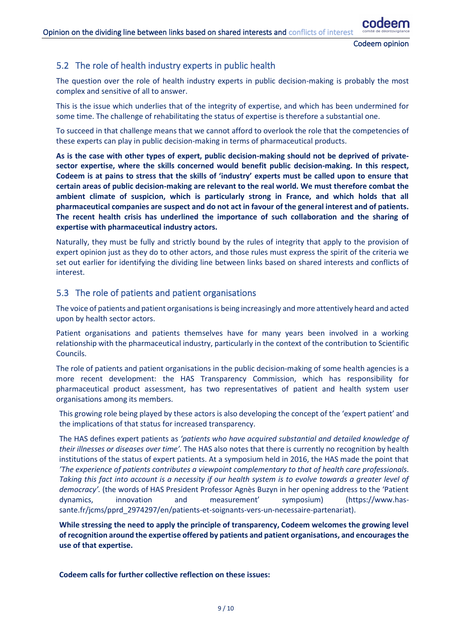### <span id="page-8-0"></span>5.2 The role of health industry experts in public health

The question over the role of health industry experts in public decision-making is probably the most complex and sensitive of all to answer.

This is the issue which underlies that of the integrity of expertise, and which has been undermined for some time. The challenge of rehabilitating the status of expertise is therefore a substantial one.

To succeed in that challenge means that we cannot afford to overlook the role that the competencies of these experts can play in public decision-making in terms of pharmaceutical products.

**As is the case with other types of expert, public decision-making should not be deprived of privatesector expertise, where the skills concerned would benefit public decision-making. In this respect, Codeem is at pains to stress that the skills of 'industry' experts must be called upon to ensure that certain areas of public decision-making are relevant to the real world. We must therefore combat the ambient climate of suspicion, which is particularly strong in France, and which holds that all pharmaceutical companies are suspect and do not act in favour of the general interest and of patients. The recent health crisis has underlined the importance of such collaboration and the sharing of expertise with pharmaceutical industry actors.**

Naturally, they must be fully and strictly bound by the rules of integrity that apply to the provision of expert opinion just as they do to other actors, and those rules must express the spirit of the criteria we set out earlier for identifying the dividing line between links based on shared interests and conflicts of interest.

#### <span id="page-8-1"></span>5.3 The role of patients and patient organisations

The voice of patients and patient organisations is being increasingly and more attentively heard and acted upon by health sector actors.

Patient organisations and patients themselves have for many years been involved in a working relationship with the pharmaceutical industry, particularly in the context of the contribution to Scientific Councils.

The role of patients and patient organisations in the public decision-making of some health agencies is a more recent development: the HAS Transparency Commission, which has responsibility for pharmaceutical product assessment, has two representatives of patient and health system user organisations among its members.

This growing role being played by these actors is also developing the concept of the 'expert patient' and the implications of that status for increased transparency.

The HAS defines expert patients as *'patients who have acquired substantial and detailed knowledge of their illnesses or diseases over time'.* The HAS also notes that there is currently no recognition by health institutions of the status of expert patients. At a symposium held in 2016, the HAS made the point that *'The experience of patients contributes a viewpoint complementary to that of health care professionals*. *Taking this fact into account is a necessity if our health system is to evolve towards a greater level of democracy'.* (the words of HAS President Professor Agnès Buzyn in her opening address to the 'Patient dynamics, innovation and measurement' symposium) (https://www.hassante.fr/jcms/pprd\_2974297/en/patients-et-soignants-vers-un-necessaire-partenariat).

**While stressing the need to apply the principle of transparency, Codeem welcomes the growing level of recognition around the expertise offered by patients and patient organisations, and encourages the use of that expertise.**

**Codeem calls for further collective reflection on these issues:**